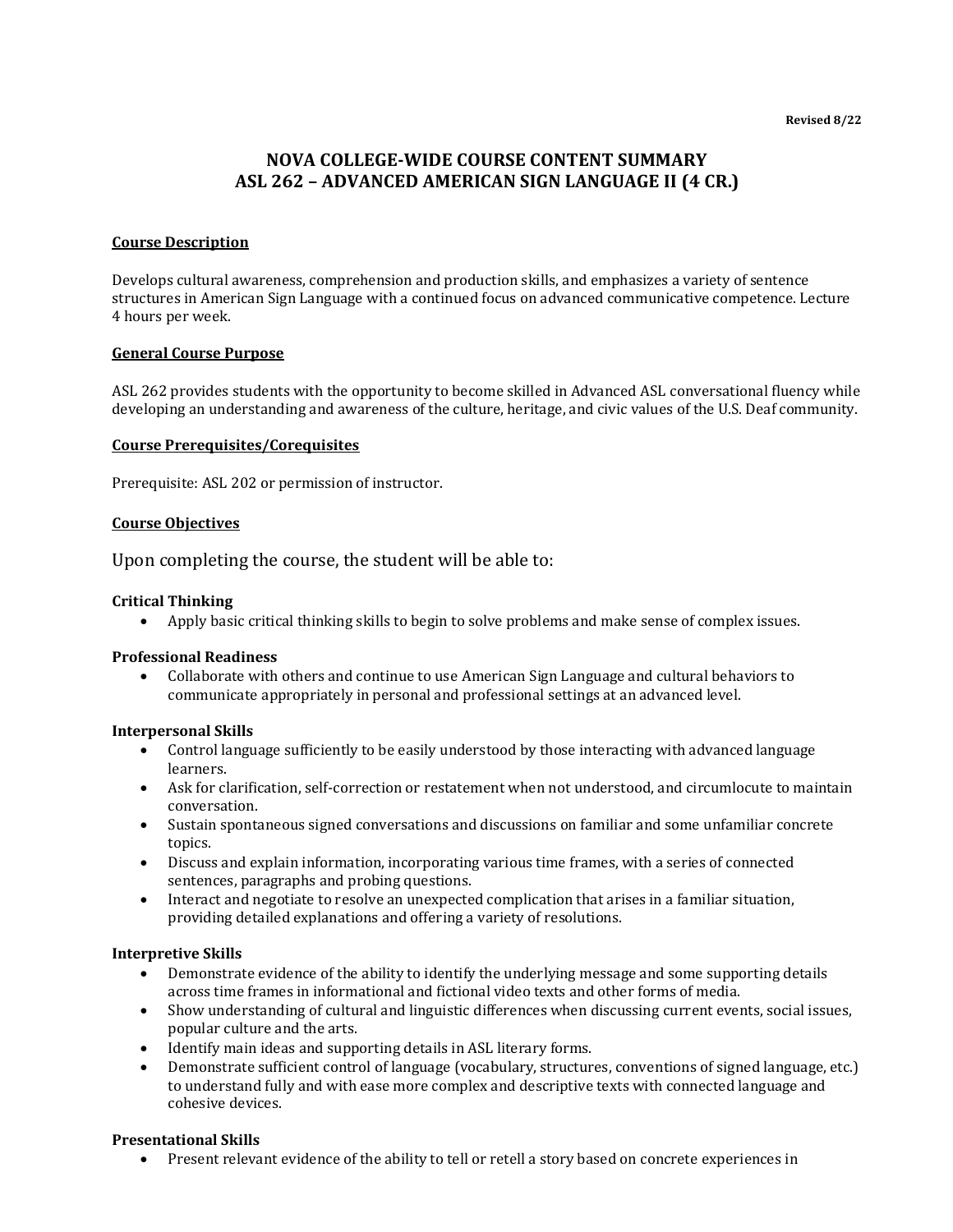# **NOVA COLLEGE-WIDE COURSE CONTENT SUMMARY ASL 262 – ADVANCED AMERICAN SIGN LANGUAGE II (4 CR.)**

# **Course Description**

Develops cultural awareness, comprehension and production skills, and emphasizes a variety of sentence structures in American Sign Language with a continued focus on advanced communicative competence. Lecture 4 hours per week.

## **General Course Purpose**

ASL 262 provides students with the opportunity to become skilled in Advanced ASL conversational fluency while developing an understanding and awareness of the culture, heritage, and civic values of the U.S. Deaf community.

## **Course Prerequisites/Corequisites**

Prerequisite: ASL 202 or permission of instructor.

### **Course Objectives**

Upon completing the course, the student will be able to:

### **Critical Thinking**

• Apply basic critical thinking skills to begin to solve problems and make sense of complex issues.

#### **Professional Readiness**

• Collaborate with others and continue to use American Sign Language and cultural behaviors to communicate appropriately in personal and professional settings at an advanced level.

#### **Interpersonal Skills**

- Control language sufficiently to be easily understood by those interacting with advanced language learners.
- Ask for clarification, self-correction or restatement when not understood, and circumlocute to maintain conversation.
- Sustain spontaneous signed conversations and discussions on familiar and some unfamiliar concrete topics.
- Discuss and explain information, incorporating various time frames, with a series of connected sentences, paragraphs and probing questions.
- Interact and negotiate to resolve an unexpected complication that arises in a familiar situation, providing detailed explanations and offering a variety of resolutions.

#### **Interpretive Skills**

- Demonstrate evidence of the ability to identify the underlying message and some supporting details across time frames in informational and fictional video texts and other forms of media.
- Show understanding of cultural and linguistic differences when discussing current events, social issues, popular culture and the arts.
- Identify main ideas and supporting details in ASL literary forms.
- Demonstrate sufficient control of language (vocabulary, structures, conventions of signed language, etc.) to understand fully and with ease more complex and descriptive texts with connected language and cohesive devices.

## **Presentational Skills**

• Present relevant evidence of the ability to tell or retell a story based on concrete experiences in